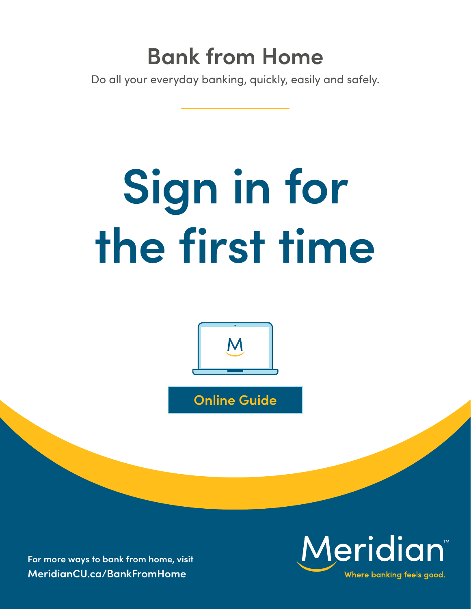## **Bank from Home**

Do all your everyday banking, quickly, easily and safely.

# **Sign in for the first time**



**Online Guide**

**For more ways to bank from home, visit [MeridianCU.ca/BankFromHome](http://MeridianCU.ca/BankFromHome)**

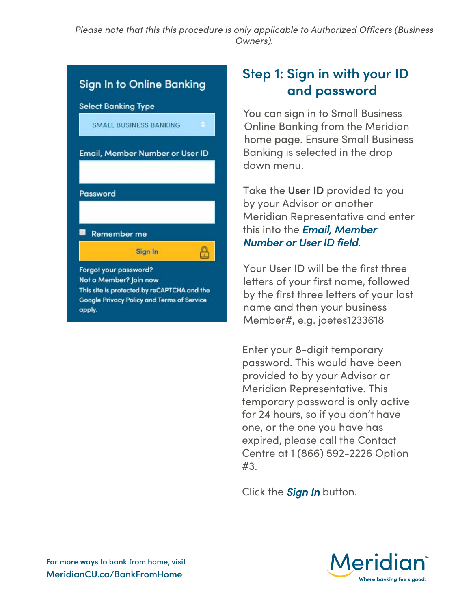*Please note that this this procedure is only applicable to Authorized Officers (Business Owners).*

### **Sign In to Online Banking Select Banking Type SMALL BUSINESS BANKING** Email, Member Number or User ID Password **Remember me** A Sign In Forgot your password? Not a Member? Join now This site is protected by reCAPTCHA and the Google Privacy Policy and Terms of Service apply.

#### **Step 1: Sign in with your ID and password**

You can sign in to Small Business Online Banking from the Meridian home page. Ensure Small Business Banking is selected in the drop down menu.

Take the **User ID** provided to you by your Advisor or another Meridian Representative and enter this into the *Email, Member Number or User ID field.*

Your User ID will be the first three letters of your first name, followed by the first three letters of your last name and then your business Member#, e.g. joetes1233618

Enter your 8-digit temporary password. This would have been provided to by your Advisor or Meridian Representative. This temporary password is only active for 24 hours, so if you don't have one, or the one you have has expired, please call the Contact Centre at 1 (866) 592-2226 Option #3.

Click the *Sign In* button.

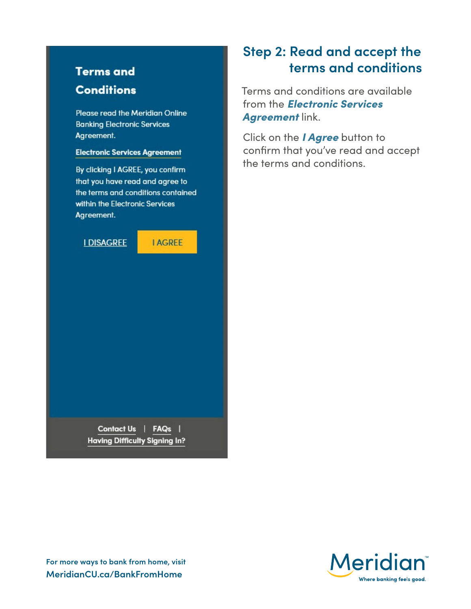#### **Terms and Conditions**

Please read the Meridian Online **Banking Electronic Services** Agreement.

#### **Electronic Services Agreement**

By clicking I AGREE, you confirm that you have read and agree to the terms and conditions contained within the Electronic Services Agreement.

**I DISAGREE** 

**I AGREE** 

Contact Us | FAQs | **Having Difficulty Signing In?** 

#### **Step 2: Read and accept the terms and conditions**

Terms and conditions are available from the *Electronic Services Agreement* link.

Click on the *I Agree* button to confirm that you've read and accept the terms and conditions.



**For more ways to bank from home, visit MeridianCU.ca/BankFromHome**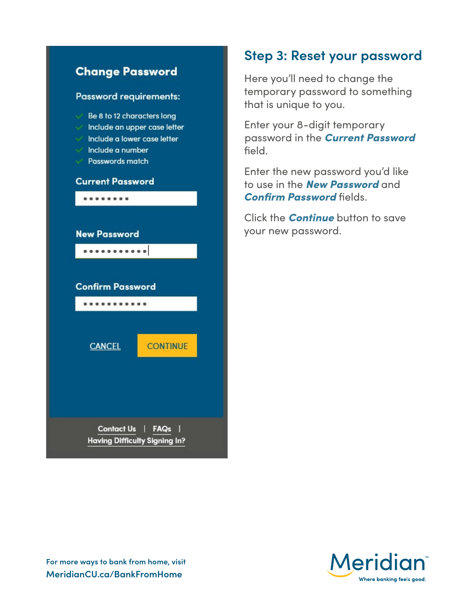

#### **Step 3: Reset your password**

Here you'll need to change the temporary password to something that is unique to you.

Enter your 8-digit temporary password in the *Current Password* field.

Enter the new password you'd like to use in the *New Password* and *Confirm Password* fields.

Click the *Continue* button to save your new password.



**For more ways to bank from home, visit MeridianCU.ca/BankFromHome**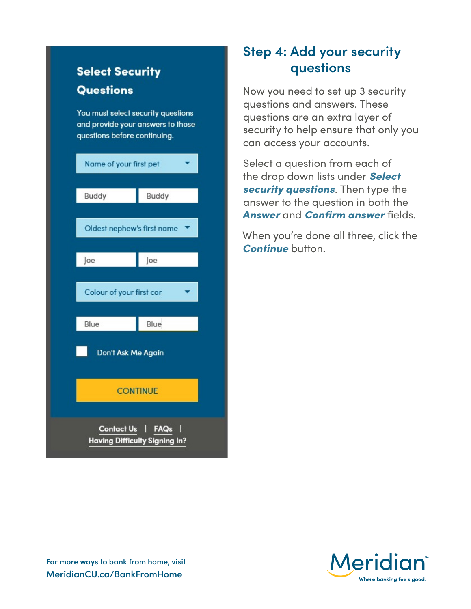#### **Select Security Questions**

You must select security questions and provide your answers to those questions before continuing.

| Name of your first pet                             |       |
|----------------------------------------------------|-------|
| Buddy                                              | Buddy |
| Oldest nephew's first name                         |       |
| Joe                                                | Joe   |
| Colour of your first car                           |       |
| Blue                                               | Blue  |
| Don't Ask Me Again                                 |       |
| <b>CONTINUE</b>                                    |       |
| Contact Us   FAQs<br>Having Difficulty Signing In? |       |

#### **Step 4: Add your security questions**

Now you need to set up 3 security questions and answers. These questions are an extra layer of security to help ensure that only you can access your accounts.

Select a question from each of the drop down lists under *Select security questions*. Then type the answer to the question in both the *Answer* and *Confirm answer* fields.

When you're done all three, click the *Continue* button.